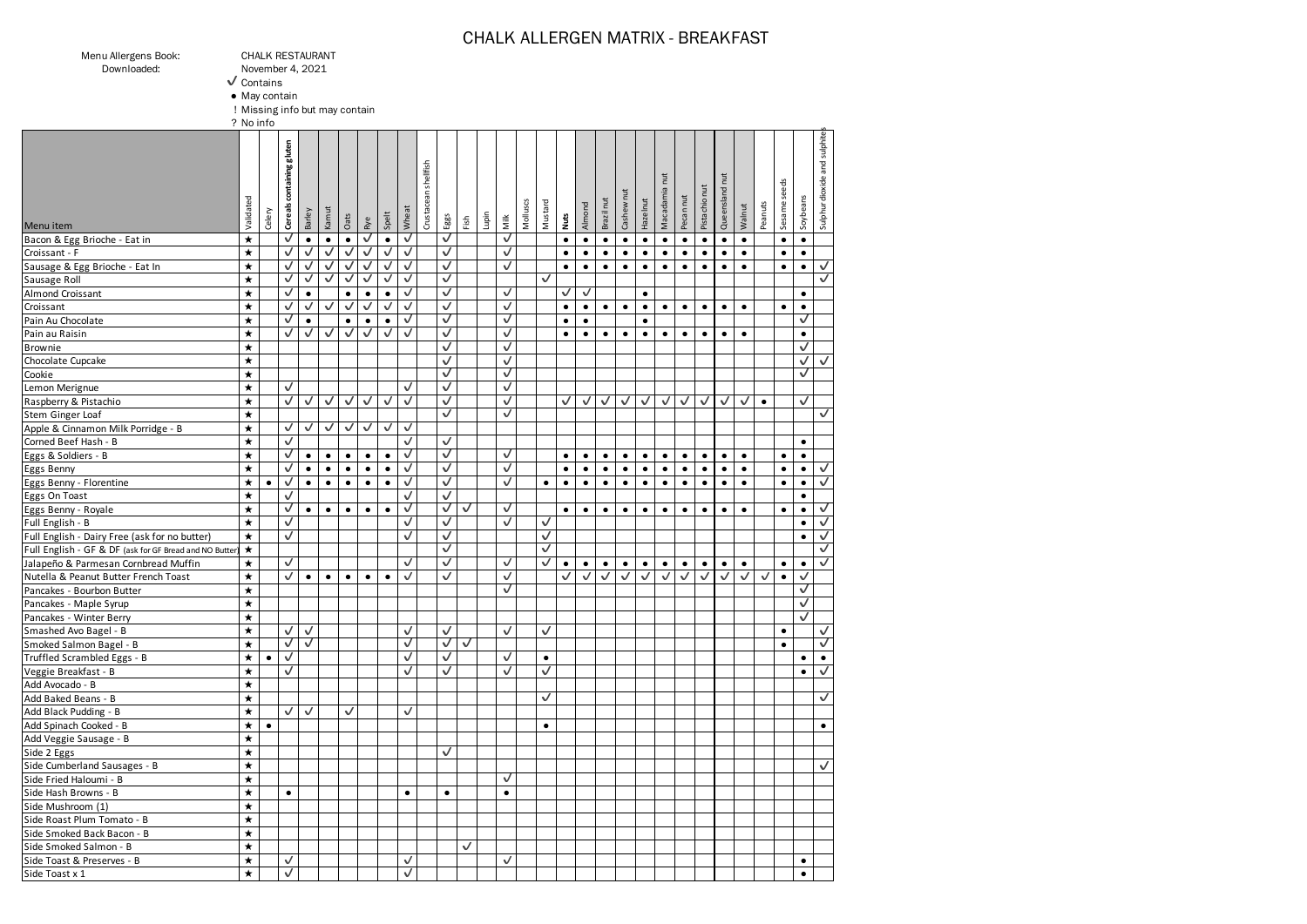### CHALK ALLERGEN MATRIX - BREAKFAST

| Menu Allergens Book |  |  |
|---------------------|--|--|
|                     |  |  |

Menu Allergens Book: CHALK RESTAURANT November 4, 2021

 $\sqrt{\frac{1}{1}}$  Contains

● May contain

! Missing info but may contain

|                                                         | ? No info         |           |                           |              |              |              |              |              |              |                      |              |              |       |              |          |              |              |              |              |              |              |                         |              |               |                 |           |           |              |              |                              |
|---------------------------------------------------------|-------------------|-----------|---------------------------|--------------|--------------|--------------|--------------|--------------|--------------|----------------------|--------------|--------------|-------|--------------|----------|--------------|--------------|--------------|--------------|--------------|--------------|-------------------------|--------------|---------------|-----------------|-----------|-----------|--------------|--------------|------------------------------|
| Menu item                                               | Validated         | Celery    | Cereals containing gluten | Barley       | Kamut        | Oats         | Rye          | Spelt        | Whea         | Crustacean shellfish | Eggs         | Fish         | İupin | Milk         | Molluscs | Mustard      | Nuts         | Almond       | Brazil nut   | Cashew nut   | Hazelnut     | <b>Tut</b><br>Macadamia | Pecan nut    | Pistachio nut | Ē<br>Queensland | Walnut    | Peanuts   | Sesame seeds | Soybeans     | Sulphur dioxide and sulphite |
| Bacon & Egg Brioche - Eat in                            | $\star$           |           | √                         | $\bullet$    | $\bullet$    | $\bullet$    | √            | $\bullet$    | √            |                      | ✓            |              |       | ✓            |          |              | $\bullet$    | $\bullet$    | $\bullet$    | $\bullet$    | $\bullet$    | $\bullet$               | $\bullet$    | $\bullet$     | $\bullet$       | $\bullet$ |           | $\bullet$    | $\bullet$    |                              |
| Croissant - F                                           | $\star$           |           | √                         | $\checkmark$ | ✓            | ✓            | ✓            | $\checkmark$ | ✓            |                      | ✓            |              |       | ✓            |          |              | $\bullet$    | $\bullet$    | $\bullet$    | $\bullet$    | $\bullet$    | $\bullet$               | $\bullet$    | $\bullet$     | $\bullet$       | $\bullet$ |           | $\bullet$    | $\bullet$    |                              |
| Sausage & Egg Brioche - Eat In                          | $\star$           |           | $\checkmark$              | ✓            | ✓            | $\checkmark$ | $\checkmark$ | $\checkmark$ | $\checkmark$ |                      | $\checkmark$ |              |       | ✓            |          |              | $\bullet$    | $\bullet$    | $\bullet$    | $\bullet$    | $\bullet$    | $\bullet$               | $\bullet$    | $\bullet$     | $\bullet$       | $\bullet$ |           | $\bullet$    | $\bullet$    | ✓                            |
| Sausage Roll                                            | $\star$           |           | $\checkmark$              | √            | ⊽            | ✓            | ✓            | √            | √            |                      | ✓            |              |       |              |          | ✓            |              |              |              |              |              |                         |              |               |                 |           |           |              |              | √                            |
| Almond Croissant                                        | $\star$           |           | ✓                         | $\bullet$    |              | $\bullet$    | $\bullet$    | $\bullet$    | ✓            |                      | ✓            |              |       | ✓            |          |              | ✓            | √            |              |              | $\bullet$    |                         |              |               |                 |           |           |              | $\bullet$    |                              |
| Croissant                                               | $\star$           |           | $\checkmark$              | $\checkmark$ | ✓            | $\checkmark$ | $\checkmark$ | $\checkmark$ | ✓            |                      | $\checkmark$ |              |       | ✓            |          |              | $\bullet$    | $\bullet$    | $\bullet$    | $\bullet$    | $\bullet$    | $\bullet$               | $\bullet$    | $\bullet$     | $\bullet$       | $\bullet$ |           | $\bullet$    | $\bullet$    |                              |
| Pain Au Chocolate                                       | $\star$           |           | √                         | $\bullet$    |              | $\bullet$    | $\bullet$    | $\bullet$    | ✓            |                      | ✓            |              |       | ✓            |          |              | $\bullet$    | $\bullet$    |              |              | $\bullet$    |                         |              |               |                 |           |           |              | √            |                              |
| Pain au Raisin                                          | $\star$           |           | ✓                         | $\checkmark$ | √            | $\checkmark$ | ✓            | ✓            | ✓            |                      | $\checkmark$ |              |       | ✓            |          |              | $\bullet$    | $\bullet$    | $\bullet$    | $\bullet$    | $\bullet$    | $\bullet$               | $\bullet$    | $\bullet$     | $\bullet$       | $\bullet$ |           |              | $\bullet$    |                              |
| Brownie                                                 | $\star$           |           |                           |              |              |              |              |              |              |                      | ✓            |              |       | ✓            |          |              |              |              |              |              |              |                         |              |               |                 |           |           |              | $\checkmark$ |                              |
| Chocolate Cupcake                                       | $\star$           |           |                           |              |              |              |              |              |              |                      | ✓            |              |       | ✓            |          |              |              |              |              |              |              |                         |              |               |                 |           |           |              | $\checkmark$ | √                            |
| Cookie                                                  | $\star$           |           |                           |              |              |              |              |              |              |                      | ✓            |              |       | ✓            |          |              |              |              |              |              |              |                         |              |               |                 |           |           |              | ✓            |                              |
| Lemon Merignue                                          | $\star$           |           | $\checkmark$              |              |              |              |              |              | ✓            |                      | $\checkmark$ |              |       | ✓            |          |              |              |              |              |              |              |                         |              |               |                 |           |           |              |              |                              |
| Raspberry & Pistachio                                   | $\star$           |           | ✓                         | $\checkmark$ | $\checkmark$ | $\checkmark$ | $\checkmark$ | ✓            | ✓            |                      | $\checkmark$ |              |       | ✓            |          |              | $\checkmark$ | $\checkmark$ | $\checkmark$ | $\checkmark$ | $\checkmark$ | $\checkmark$            | $\checkmark$ | $\checkmark$  | ✓               | ✓         | $\bullet$ |              | $\checkmark$ |                              |
| Stem Ginger Loaf                                        | $\star$           |           |                           |              |              |              |              |              |              |                      | ✓            |              |       | ✓            |          |              |              |              |              |              |              |                         |              |               |                 |           |           |              |              | $\checkmark$                 |
| Apple & Cinnamon Milk Porridge - B                      | $\star$           |           | $\checkmark$              | $\checkmark$ | ✓            | $\checkmark$ | ✓            | $\checkmark$ | √            |                      |              |              |       |              |          |              |              |              |              |              |              |                         |              |               |                 |           |           |              |              |                              |
| Corned Beef Hash - B                                    | $\star$           |           | ✓                         |              |              |              |              |              | ✓            |                      | ✓            |              |       |              |          |              |              |              |              |              |              |                         |              |               |                 |           |           |              | $\bullet$    |                              |
| Eggs & Soldiers - B                                     | $\star$           |           | ✓                         | $\bullet$    | $\bullet$    | $\bullet$    | $\bullet$    | $\bullet$    | ✓            |                      | ✓            |              |       | ✓            |          |              | $\bullet$    | $\bullet$    | $\bullet$    | $\bullet$    | $\bullet$    | $\bullet$               | $\bullet$    | $\bullet$     | $\bullet$       | $\bullet$ |           | $\bullet$    | $\bullet$    |                              |
| Eggs Benny                                              | $\star$           |           | √                         | $\bullet$    | $\bullet$    | $\bullet$    | $\bullet$    | $\bullet$    | √            |                      | ✓            |              |       | √            |          |              | $\bullet$    | $\bullet$    | $\bullet$    | $\bullet$    | $\bullet$    | $\bullet$               | $\bullet$    | $\bullet$     | $\bullet$       | $\bullet$ |           | $\bullet$    | $\bullet$    | $\checkmark$                 |
| Eggs Benny - Florentine                                 | $\star$           | $\bullet$ | $\checkmark$              | $\bullet$    | $\bullet$    | $\bullet$    | $\bullet$    | $\bullet$    | ✓            |                      | ✓            |              |       | ✓            |          | $\bullet$    | $\bullet$    | $\bullet$    | $\bullet$    | $\bullet$    | $\bullet$    | $\bullet$               | $\bullet$    | $\bullet$     | $\bullet$       | $\bullet$ |           | $\bullet$    | $\bullet$    | ✓                            |
| Eggs On Toast                                           | $\star$           |           | $\checkmark$              |              |              |              |              |              | ✓            |                      | ✓            |              |       |              |          |              |              |              |              |              |              |                         |              |               |                 |           |           |              | $\bullet$    |                              |
| Eggs Benny - Royale                                     | $\star$           |           | $\checkmark$              | $\bullet$    | $\bullet$    | $\bullet$    | $\bullet$    | $\bullet$    | ✓            |                      | $\checkmark$ | ✓            |       | ✓            |          |              | $\bullet$    | $\bullet$    | $\bullet$    | $\bullet$    | $\bullet$    | $\bullet$               | $\bullet$    | $\bullet$     | $\bullet$       | $\bullet$ |           | $\bullet$    | $\bullet$    | $\checkmark$                 |
| Full English - B                                        | $\star$           |           | ✓                         |              |              |              |              |              | ✓            |                      | ✓            |              |       | ✓            |          | ✓            |              |              |              |              |              |                         |              |               |                 |           |           |              | $\bullet$    | $\checkmark$                 |
| Full English - Dairy Free (ask for no butter)           | $\star$           |           | ✓                         |              |              |              |              |              | ✓            |                      | ✓            |              |       |              |          | $\checkmark$ |              |              |              |              |              |                         |              |               |                 |           |           |              | $\bullet$    | $\checkmark$                 |
| Full English - GF & DF (ask for GF Bread and NO Butter) | $\star$           |           |                           |              |              |              |              |              |              |                      | ✓            |              |       |              |          | ✓            |              |              |              |              |              |                         |              |               |                 |           |           |              |              | ⊽                            |
| Jalapeño & Parmesan Cornbread Muffin                    | $\star$           |           | $\overline{\mathsf{v}}$   |              |              |              |              |              | √            |                      | ✓            |              |       | ✓            |          | ⊽            | $\bullet$    | $\bullet$    | $\bullet$    | $\bullet$    | $\bullet$    | $\bullet$               | $\bullet$    | $\bullet$     | $\bullet$       | $\bullet$ |           | $\bullet$    | $\bullet$    | $\sqrt{}$                    |
| Nutella & Peanut Butter French Toast                    | $\star$           |           | ✓                         | $\bullet$    | $\bullet$    | $\bullet$    | $\bullet$    | $\bullet$    | ✓            |                      | ✓            |              |       | ✓            |          |              | $\checkmark$ | ✓            | ✓            | $\checkmark$ | $\checkmark$ | $\checkmark$            | ✓            | $\checkmark$  | ✓               | ✓         | ✓         | $\bullet$    | ✓            |                              |
| Pancakes - Bourbon Butter                               | $\star$           |           |                           |              |              |              |              |              |              |                      |              |              |       | ✓            |          |              |              |              |              |              |              |                         |              |               |                 |           |           |              | ✓            |                              |
| Pancakes - Maple Syrup                                  | $\star$           |           |                           |              |              |              |              |              |              |                      |              |              |       |              |          |              |              |              |              |              |              |                         |              |               |                 |           |           |              | ⊽            |                              |
| Pancakes - Winter Berry                                 | $\star$           |           |                           |              |              |              |              |              |              |                      |              |              |       |              |          |              |              |              |              |              |              |                         |              |               |                 |           |           |              | ✓            |                              |
| Smashed Avo Bagel - B                                   | $\star$           |           | ✓                         | $\checkmark$ |              |              |              |              | √            |                      | ✓            |              |       | ✓            |          | ✓            |              |              |              |              |              |                         |              |               |                 |           |           | $\bullet$    |              | √                            |
| Smoked Salmon Bagel - B                                 | $\star$           |           | $\sqrt{}$                 | $\sqrt{}$    |              |              |              |              | ✓            |                      | $\checkmark$ | $\checkmark$ |       |              |          |              |              |              |              |              |              |                         |              |               |                 |           |           | $\bullet$    |              | ✓                            |
| Truffled Scrambled Eggs - B                             | $\star$           | $\bullet$ | ✓                         |              |              |              |              |              | √            |                      | $\checkmark$ |              |       | ✓            |          | $\bullet$    |              |              |              |              |              |                         |              |               |                 |           |           |              | $\bullet$    | $\bullet$                    |
| Veggie Breakfast - B                                    | $\star$           |           | ✓                         |              |              |              |              |              | ✓            |                      | ✓            |              |       | ✓            |          | √            |              |              |              |              |              |                         |              |               |                 |           |           |              | $\bullet$    | ✓                            |
| Add Avocado - B                                         | $\star$           |           |                           |              |              |              |              |              |              |                      |              |              |       |              |          |              |              |              |              |              |              |                         |              |               |                 |           |           |              |              |                              |
| Add Baked Beans - B                                     | $\star$           |           |                           |              |              |              |              |              |              |                      |              |              |       |              |          | √            |              |              |              |              |              |                         |              |               |                 |           |           |              |              | ✓                            |
| Add Black Pudding - B                                   | $\star$           |           | ✓                         | $\checkmark$ |              | √            |              |              | ✓            |                      |              |              |       |              |          |              |              |              |              |              |              |                         |              |               |                 |           |           |              |              |                              |
| Add Spinach Cooked - B                                  | $\star$           | $\bullet$ |                           |              |              |              |              |              |              |                      |              |              |       |              |          | $\bullet$    |              |              |              |              |              |                         |              |               |                 |           |           |              |              | $\bullet$                    |
| Add Veggie Sausage - B                                  | $\star$           |           |                           |              |              |              |              |              |              |                      |              |              |       |              |          |              |              |              |              |              |              |                         |              |               |                 |           |           |              |              |                              |
| Side 2 Eggs                                             | $\star$           |           |                           |              |              |              |              |              |              |                      | ✓            |              |       |              |          |              |              |              |              |              |              |                         |              |               |                 |           |           |              |              |                              |
| Side Cumberland Sausages - B                            | $\star$           |           |                           |              |              |              |              |              |              |                      |              |              |       |              |          |              |              |              |              |              |              |                         |              |               |                 |           |           |              |              | ✓                            |
| Side Fried Haloumi - B                                  | $\star$           |           |                           |              |              |              |              |              |              |                      |              |              |       | ✓            |          |              |              |              |              |              |              |                         |              |               |                 |           |           |              |              |                              |
| Side Hash Browns - B                                    | $\star$           |           | $\bullet$                 |              |              |              |              |              | $\bullet$    |                      | $\bullet$    |              |       | $\bullet$    |          |              |              |              |              |              |              |                         |              |               |                 |           |           |              |              |                              |
| Side Mushroom (1)                                       | $\star$           |           |                           |              |              |              |              |              |              |                      |              |              |       |              |          |              |              |              |              |              |              |                         |              |               |                 |           |           |              |              |                              |
| Side Roast Plum Tomato - B                              | $\overline{\ast}$ |           |                           |              |              |              |              |              |              |                      |              |              |       |              |          |              |              |              |              |              |              |                         |              |               |                 |           |           |              |              |                              |
| Side Smoked Back Bacon - B                              | $\star$           |           |                           |              |              |              |              |              |              |                      |              |              |       |              |          |              |              |              |              |              |              |                         |              |               |                 |           |           |              |              |                              |
| Side Smoked Salmon - B                                  | $\star$           |           |                           |              |              |              |              |              |              |                      |              | $\checkmark$ |       |              |          |              |              |              |              |              |              |                         |              |               |                 |           |           |              |              |                              |
| Side Toast & Preserves - B                              | $\bigstar$        |           | $\checkmark$              |              |              |              |              |              | √            |                      |              |              |       | $\checkmark$ |          |              |              |              |              |              |              |                         |              |               |                 |           |           |              | $\bullet$    |                              |
| Side Toast x 1                                          | $\star$           |           | $\checkmark$              |              |              |              |              |              | ✓            |                      |              |              |       |              |          |              |              |              |              |              |              |                         |              |               |                 |           |           |              | $\bullet$    |                              |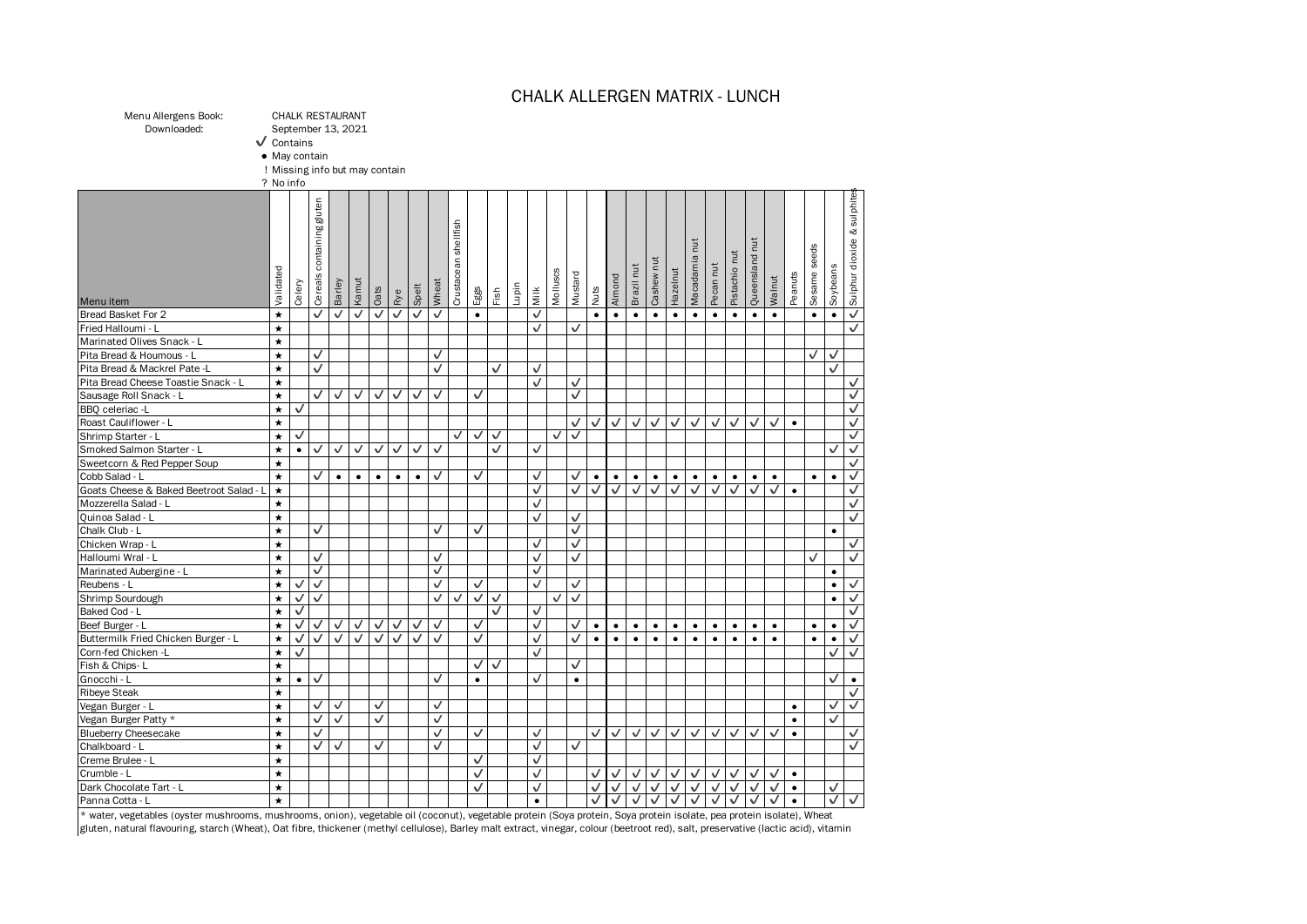### CHALK ALLERGEN MATRIX - LUNCH

Menu Allergens Book: CHALK RESTAURANT<br>Downloaded: September 13, 2021 Downloaded: September 13, 2021

✔ Contains

● May contain

! Missing info but may contain

? No info

| Menu item                               | Validated | Celery    | containing guten<br>Cereals | Barley       | Kamut        | Oats      | Rye       | Spelt        | Wheat | shellfish<br>Crustacean | Eggs      | Fish         | Lupin | Milk         | Molluscs     | Mustard      | Nuts         | Almond    | Brazil nut | Cashew nut   | Hazelnut     | nut<br>Macadamia | Pecannut     | Pistachio nut | nut<br>Queensland | Walnut    | Peanuts   | Sesame seeds | Soybeans     | & sulphite<br>Sulphur dioxide |
|-----------------------------------------|-----------|-----------|-----------------------------|--------------|--------------|-----------|-----------|--------------|-------|-------------------------|-----------|--------------|-------|--------------|--------------|--------------|--------------|-----------|------------|--------------|--------------|------------------|--------------|---------------|-------------------|-----------|-----------|--------------|--------------|-------------------------------|
| Bread Basket For 2                      | $\star$   |           | ✓                           | ✓            | $\checkmark$ | ⊽         | ✓         | $\sqrt{}$    | ✓     |                         | $\bullet$ |              |       | $\checkmark$ |              |              | $\bullet$    | $\bullet$ | $\bullet$  | $\bullet$    | $\bullet$    | $\bullet$        | $\bullet$    | $\bullet$     | $\bullet$         | $\bullet$ |           | $\bullet$    | $\bullet$    | $\checkmark$                  |
| Fried Halloumi - L                      | $\star$   |           |                             |              |              |           |           |              |       |                         |           |              |       | ✓            |              | ✓            |              |           |            |              |              |                  |              |               |                   |           |           |              |              | ✓                             |
| Marinated Olives Snack - L              | *         |           |                             |              |              |           |           |              |       |                         |           |              |       |              |              |              |              |           |            |              |              |                  |              |               |                   |           |           |              |              |                               |
| Pita Bread & Houmous - L                | $\star$   |           | $\checkmark$                |              |              |           |           |              | ✓     |                         |           |              |       |              |              |              |              |           |            |              |              |                  |              |               |                   |           |           | ✓            | ✓            |                               |
| Pita Bread & Mackrel Pate -L            | *         |           | ✓                           |              |              |           |           |              | ✓     |                         |           | ✓            |       | ✓            |              |              |              |           |            |              |              |                  |              |               |                   |           |           |              | ✓            |                               |
| Pita Bread Cheese Toastie Snack - L     | $\star$   |           |                             |              |              |           |           |              |       |                         |           |              |       | ✓            |              | √            |              |           |            |              |              |                  |              |               |                   |           |           |              |              | ✓                             |
| Sausage Roll Snack - L                  | *         |           | $\checkmark$                | $\checkmark$ | ✓            | √         | ✓         | ✓            | ✓     |                         | ✓         |              |       |              |              | ✓            |              |           |            |              |              |                  |              |               |                   |           |           |              |              | ✓                             |
| BBQ celeriac -L                         | $\star$   | √         |                             |              |              |           |           |              |       |                         |           |              |       |              |              |              |              |           |            |              |              |                  |              |               |                   |           |           |              |              | ✓                             |
| Roast Cauliflower - L                   | $\star$   |           |                             |              |              |           |           |              |       |                         |           |              |       |              |              | √            | √            | ✓         | ✓          | ✓            | √            | ✓                | ✓            | ✓             | ✓                 | ✓         | $\bullet$ |              |              | ✓                             |
| Shrimp Starter - L                      | $\star$   | ✓         |                             |              |              |           |           |              |       | ✓                       | ✓         | $\checkmark$ |       |              | $\checkmark$ | ✓            |              |           |            |              |              |                  |              |               |                   |           |           |              |              | ✓                             |
| Smoked Salmon Starter - L               | *         | $\bullet$ | $\checkmark$                | ✓            | ✓            | √         | ✓         | ✓            | ✓     |                         |           | ✓            |       | $\checkmark$ |              |              |              |           |            |              |              |                  |              |               |                   |           |           |              |              | ✓                             |
| Sweetcorn & Red Pepper Soup             | $\star$   |           |                             |              |              |           |           |              |       |                         |           |              |       |              |              |              |              |           |            |              |              |                  |              |               |                   |           |           |              |              | ✓                             |
| Cobb Salad - L                          | $\star$   |           | ✓                           | $\bullet$    | $\bullet$    | $\bullet$ | $\bullet$ | $\bullet$    | ✓     |                         | ✓         |              |       | ✓            |              | √            | $\bullet$    | $\bullet$ | $\bullet$  | $\bullet$    | $\bullet$    | $\bullet$        | $\bullet$    | $\bullet$     | $\bullet$         | $\bullet$ |           | $\bullet$    | $\bullet$    | ✓                             |
| Goats Cheese & Baked Beetroot Salad - L | $\star$   |           |                             |              |              |           |           |              |       |                         |           |              |       | ✓            |              | ✓            | $\checkmark$ | ✓         | ✓          | ✓            | ✓            | ✓                | ✓            | ✓             | ✓                 | ✓         | $\bullet$ |              |              | ✓                             |
| Mozzerella Salad - L                    | $\star$   |           |                             |              |              |           |           |              |       |                         |           |              |       | ✓            |              |              |              |           |            |              |              |                  |              |               |                   |           |           |              |              | ✓                             |
| Quinoa Salad - L                        | $\star$   |           |                             |              |              |           |           |              |       |                         |           |              |       | ✓            |              | ✓            |              |           |            |              |              |                  |              |               |                   |           |           |              |              | ✓                             |
| Chalk Club - L                          | $\star$   |           | ✓                           |              |              |           |           |              | ✓     |                         | ✓         |              |       |              |              | ✓            |              |           |            |              |              |                  |              |               |                   |           |           |              | ٠            |                               |
| Chicken Wrap - L                        | $\star$   |           |                             |              |              |           |           |              |       |                         |           |              |       | ✓            |              | ✓            |              |           |            |              |              |                  |              |               |                   |           |           |              |              | ✓                             |
| Halloumi Wral - L                       | $\star$   |           | $\checkmark$                |              |              |           |           |              | ✓     |                         |           |              |       | ✓            |              | ✓            |              |           |            |              |              |                  |              |               |                   |           |           | ✓            |              | ✓                             |
| Marinated Aubergine - L                 | $\star$   |           | ✓                           |              |              |           |           |              | √     |                         |           |              |       | √            |              |              |              |           |            |              |              |                  |              |               |                   |           |           |              | $\bullet$    |                               |
| Reubens - L                             | $\star$   | ✓         | ✓                           |              |              |           |           |              | ✓     |                         | ✓         |              |       | ✓            |              | ✓            |              |           |            |              |              |                  |              |               |                   |           |           |              | $\bullet$    | √                             |
| Shrimp Sourdough                        | $\star$   | ✓         | √                           |              |              |           |           |              | ✓     | $\checkmark$            | ✓         | √            |       |              | √            | ✓            |              |           |            |              |              |                  |              |               |                   |           |           |              | $\bullet$    | ✓                             |
| Baked Cod - L                           | $\star$   | √         |                             |              |              |           |           |              |       |                         |           | ✓            |       | √            |              |              |              |           |            |              |              |                  |              |               |                   |           |           |              |              | ✓                             |
| Beef Burger - L                         | $\star$   | √         | ✓                           | ✓            | ✓            | ✓         | ✓         | √            | ✓     |                         | ✓         |              |       | ✓            |              | ✓            | $\bullet$    | $\bullet$ | $\bullet$  | $\bullet$    | $\bullet$    | $\bullet$        | $\bullet$    | $\bullet$     | $\bullet$         | $\bullet$ |           | $\bullet$    | ٠            | ✓                             |
| Buttermilk Fried Chicken Burger - L     | $\star$   | ✓         | ✓                           | ✓            | ✓            | ✓         | ✓         | $\checkmark$ | ✓     |                         | ✓         |              |       | $\checkmark$ |              | $\checkmark$ | $\bullet$    | $\bullet$ | $\bullet$  | $\bullet$    | $\bullet$    | $\bullet$        | $\bullet$    | $\bullet$     | $\bullet$         | $\bullet$ |           | $\bullet$    | $\bullet$    | ✓                             |
| Corn-fed Chicken -L                     | $\star$   | ✓         |                             |              |              |           |           |              |       |                         |           |              |       | ✓            |              |              |              |           |            |              |              |                  |              |               |                   |           |           |              | $\checkmark$ | $\checkmark$                  |
| Fish & Chips-L                          | $\star$   |           |                             |              |              |           |           |              |       |                         | ✓         | $\checkmark$ |       |              |              | ✓            |              |           |            |              |              |                  |              |               |                   |           |           |              |              |                               |
| Gnocchi - L                             | *         | $\bullet$ | √                           |              |              |           |           |              | ✓     |                         | $\bullet$ |              |       | ✓            |              | $\bullet$    |              |           |            |              |              |                  |              |               |                   |           |           |              | ✓            | $\bullet$                     |
| <b>Ribeye Steak</b>                     | $\star$   |           |                             |              |              |           |           |              |       |                         |           |              |       |              |              |              |              |           |            |              |              |                  |              |               |                   |           |           |              |              | ✓                             |
| Vegan Burger - L                        | *         |           | ✓                           | ✓            |              | ✓         |           |              | ✓     |                         |           |              |       |              |              |              |              |           |            |              |              |                  |              |               |                   |           | $\bullet$ |              | ✓            |                               |
| Vegan Burger Patty *                    | $\star$   |           | ✓                           | ✓            |              | ✓         |           |              | ✓     |                         |           |              |       |              |              |              |              |           |            |              |              |                  |              |               |                   |           | $\bullet$ |              | ✓            |                               |
| <b>Blueberry Cheesecake</b>             | $\star$   |           | ✓                           |              |              |           |           |              | ✓     |                         | ✓         |              |       | ✓            |              |              | ✓            | ✓         | ✓          | $\checkmark$ | $\checkmark$ | $\sqrt{}$        | $\checkmark$ | ✓             | ✓                 | ✓         | $\bullet$ |              |              | ✓                             |
| Chalkboard - L                          | $\star$   |           | √                           | $\checkmark$ |              | √         |           |              | ✓     |                         |           |              |       | √            |              | ✓            |              |           |            |              |              |                  |              |               |                   |           |           |              |              | √                             |
| Creme Brulee - L                        | $\star$   |           |                             |              |              |           |           |              |       |                         | ✓         |              |       | $\checkmark$ |              |              |              |           |            |              |              |                  |              |               |                   |           |           |              |              |                               |
| Crumble - L                             | $\star$   |           |                             |              |              |           |           |              |       |                         | ✓         |              |       | ✓            |              |              | ✓            | ✓         | ✓          | ✓            | ✓            | √                | √            | ✓             | ✓                 | ✓         | $\bullet$ |              |              |                               |
| Dark Chocolate Tart - L                 | $\star$   |           |                             |              |              |           |           |              |       |                         | ✓         |              |       | ✓            |              |              | $\checkmark$ | ✓         | ✓          | $\checkmark$ | $\checkmark$ | $\checkmark$     | ✓            | ✓             | ✓                 | ✓         | $\bullet$ |              | ✓            |                               |
| Panna Cotta - L                         | $\star$   |           |                             |              |              |           |           |              |       |                         |           |              |       | $\bullet$    |              |              | ✓            | ✓         | ✓          | ✓            | ✓            | ✓                | ✓            | ✓             | ✓                 | ✓         | $\bullet$ |              | ✓            | ✓                             |

\* water, vegetables (oyster mushrooms, mushrooms, onion), vegetable oil (coconut), vegetable protein (Soya protein, Soya protein isolate, pea protein isolate), Wheat gluten, natural flavouring, starch (Wheat), Oat fibre, thickener (methyl cellulose), Barley malt extract, vinegar, colour (beetroot red), salt, preservative (lactic acid), vitamin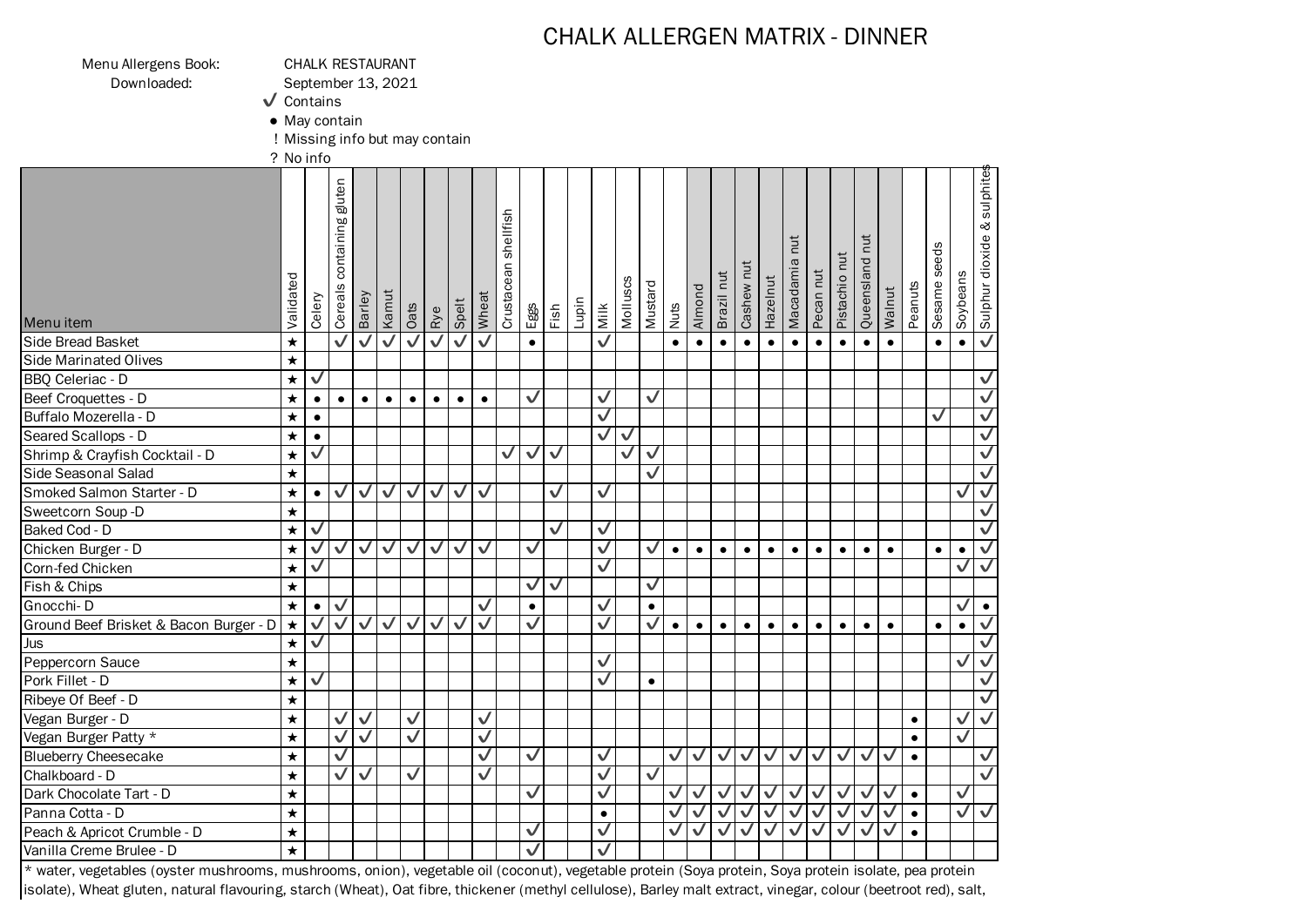## CHALK ALLERGEN MATRIX - DINNER

Menu Allergens Book: CHALK RESTAURANT

Downloaded: September 13, 2021

✔ Contains

● May contain

! Missing info but may contain

? No info

| Validated  | Celery       | containing gluten                                                       |                                                                         |                        | Oats                                                                           | <b>Rye</b>                   |                                              | Wheat                                            | shellfish<br>Crustacean                                                                                                                           |              |                                                                                              | Lupin                |               | Molluscs                                                                                                                                                                                                                                                                                  |              |                                                                                                                          |                                      |                                                                        |                                                                                                  | Hazelnut                                                             | tut                                                                    |                                                                                                                 |                                                                                              | Queensland nut                                                                        |                                                                       | Peanuts   |           |                              | & sulphite:<br>Sulphur dioxide           |
|------------|--------------|-------------------------------------------------------------------------|-------------------------------------------------------------------------|------------------------|--------------------------------------------------------------------------------|------------------------------|----------------------------------------------|--------------------------------------------------|---------------------------------------------------------------------------------------------------------------------------------------------------|--------------|----------------------------------------------------------------------------------------------|----------------------|---------------|-------------------------------------------------------------------------------------------------------------------------------------------------------------------------------------------------------------------------------------------------------------------------------------------|--------------|--------------------------------------------------------------------------------------------------------------------------|--------------------------------------|------------------------------------------------------------------------|--------------------------------------------------------------------------------------------------|----------------------------------------------------------------------|------------------------------------------------------------------------|-----------------------------------------------------------------------------------------------------------------|----------------------------------------------------------------------------------------------|---------------------------------------------------------------------------------------|-----------------------------------------------------------------------|-----------|-----------|------------------------------|------------------------------------------|
| $\star$    |              |                                                                         |                                                                         |                        |                                                                                |                              |                                              |                                                  |                                                                                                                                                   | $\bullet$    |                                                                                              |                      |               |                                                                                                                                                                                                                                                                                           |              | $\bullet$                                                                                                                | $\bullet$                            | $\bullet$                                                              | $\bullet$                                                                                        | $\bullet$                                                            | $\bullet$                                                              | $\bullet$                                                                                                       | $\bullet$                                                                                    | $\bullet$                                                                             | $\bullet$                                                             |           | $\bullet$ | $\bullet$                    | $\checkmark$                             |
| $\star$    |              |                                                                         |                                                                         |                        |                                                                                |                              |                                              |                                                  |                                                                                                                                                   |              |                                                                                              |                      |               |                                                                                                                                                                                                                                                                                           |              |                                                                                                                          |                                      |                                                                        |                                                                                                  |                                                                      |                                                                        |                                                                                                                 |                                                                                              |                                                                                       |                                                                       |           |           |                              |                                          |
| $\star$    |              |                                                                         |                                                                         |                        |                                                                                |                              |                                              |                                                  |                                                                                                                                                   |              |                                                                                              |                      |               |                                                                                                                                                                                                                                                                                           |              |                                                                                                                          |                                      |                                                                        |                                                                                                  |                                                                      |                                                                        |                                                                                                                 |                                                                                              |                                                                                       |                                                                       |           |           |                              | $\overline{\mathsf{v}}$                  |
| $\star$    | $\bullet$    | $\bullet$                                                               | $\bullet$                                                               | $\bullet$              | $\bullet$                                                                      | $\bullet$                    | $\bullet$                                    | $\bullet$                                        |                                                                                                                                                   |              |                                                                                              |                      |               |                                                                                                                                                                                                                                                                                           |              |                                                                                                                          |                                      |                                                                        |                                                                                                  |                                                                      |                                                                        |                                                                                                                 |                                                                                              |                                                                                       |                                                                       |           |           |                              | $\checkmark$                             |
| $\star$    | $\bullet$    |                                                                         |                                                                         |                        |                                                                                |                              |                                              |                                                  |                                                                                                                                                   |              |                                                                                              |                      |               |                                                                                                                                                                                                                                                                                           |              |                                                                                                                          |                                      |                                                                        |                                                                                                  |                                                                      |                                                                        |                                                                                                                 |                                                                                              |                                                                                       |                                                                       |           |           |                              | $\sqrt{}$                                |
| $\star$    | $\bullet$    |                                                                         |                                                                         |                        |                                                                                |                              |                                              |                                                  |                                                                                                                                                   |              |                                                                                              |                      |               | $\checkmark$                                                                                                                                                                                                                                                                              |              |                                                                                                                          |                                      |                                                                        |                                                                                                  |                                                                      |                                                                        |                                                                                                                 |                                                                                              |                                                                                       |                                                                       |           |           |                              | $\checkmark$                             |
| $\star$    |              |                                                                         |                                                                         |                        |                                                                                |                              |                                              |                                                  | ✓                                                                                                                                                 | $\checkmark$ |                                                                                              |                      |               | V                                                                                                                                                                                                                                                                                         |              |                                                                                                                          |                                      |                                                                        |                                                                                                  |                                                                      |                                                                        |                                                                                                                 |                                                                                              |                                                                                       |                                                                       |           |           |                              | $\checkmark$                             |
| $\star$    |              |                                                                         |                                                                         |                        |                                                                                |                              |                                              |                                                  |                                                                                                                                                   |              |                                                                                              |                      |               |                                                                                                                                                                                                                                                                                           |              |                                                                                                                          |                                      |                                                                        |                                                                                                  |                                                                      |                                                                        |                                                                                                                 |                                                                                              |                                                                                       |                                                                       |           |           |                              | $\overline{\checkmark}$                  |
| $\star$    | $\bullet$    | $\checkmark$                                                            | $\checkmark$                                                            |                        | $\checkmark$                                                                   | $\checkmark$                 | $\checkmark$                                 |                                                  |                                                                                                                                                   |              | $\checkmark$                                                                                 |                      | $\checkmark$  |                                                                                                                                                                                                                                                                                           |              |                                                                                                                          |                                      |                                                                        |                                                                                                  |                                                                      |                                                                        |                                                                                                                 |                                                                                              |                                                                                       |                                                                       |           |           | V                            | $\overline{\mathsf{v}}$                  |
| $\star$    |              |                                                                         |                                                                         |                        |                                                                                |                              |                                              |                                                  |                                                                                                                                                   |              |                                                                                              |                      |               |                                                                                                                                                                                                                                                                                           |              |                                                                                                                          |                                      |                                                                        |                                                                                                  |                                                                      |                                                                        |                                                                                                                 |                                                                                              |                                                                                       |                                                                       |           |           |                              | $\checkmark$                             |
| $\bigstar$ | $\checkmark$ |                                                                         |                                                                         |                        |                                                                                |                              |                                              |                                                  |                                                                                                                                                   |              | $\checkmark$                                                                                 |                      | $\checkmark$  |                                                                                                                                                                                                                                                                                           |              |                                                                                                                          |                                      |                                                                        |                                                                                                  |                                                                      |                                                                        |                                                                                                                 |                                                                                              |                                                                                       |                                                                       |           |           |                              | $\overline{\checkmark}$                  |
| $\star$    | $\checkmark$ | $\checkmark$                                                            | $\checkmark$                                                            | $\checkmark$           | $\checkmark$                                                                   | $\checkmark$                 | ✓                                            | $\checkmark$                                     |                                                                                                                                                   | $\checkmark$ |                                                                                              |                      |               |                                                                                                                                                                                                                                                                                           | $\checkmark$ | $\bullet$                                                                                                                | $\bullet$                            | $\bullet$                                                              | $\bullet$                                                                                        | $\bullet$                                                            | $\bullet$                                                              | $\bullet$                                                                                                       | $\bullet$                                                                                    | $\bullet$                                                                             | $\bullet$                                                             |           | $\bullet$ | $\bullet$                    | $\checkmark$                             |
| $\star$    | ✓            |                                                                         |                                                                         |                        |                                                                                |                              |                                              |                                                  |                                                                                                                                                   |              |                                                                                              |                      | $\checkmark$  |                                                                                                                                                                                                                                                                                           |              |                                                                                                                          |                                      |                                                                        |                                                                                                  |                                                                      |                                                                        |                                                                                                                 |                                                                                              |                                                                                       |                                                                       |           |           | ✓                            | $\checkmark$                             |
| $\bigstar$ |              |                                                                         |                                                                         |                        |                                                                                |                              |                                              |                                                  |                                                                                                                                                   | $\checkmark$ | $\checkmark$                                                                                 |                      |               |                                                                                                                                                                                                                                                                                           | $\checkmark$ |                                                                                                                          |                                      |                                                                        |                                                                                                  |                                                                      |                                                                        |                                                                                                                 |                                                                                              |                                                                                       |                                                                       |           |           |                              |                                          |
| $\bigstar$ | $\bullet$    |                                                                         |                                                                         |                        |                                                                                |                              |                                              |                                                  |                                                                                                                                                   | $\bullet$    |                                                                                              |                      |               |                                                                                                                                                                                                                                                                                           | $\bullet$    |                                                                                                                          |                                      |                                                                        |                                                                                                  |                                                                      |                                                                        |                                                                                                                 |                                                                                              |                                                                                       |                                                                       |           |           | $\checkmark$                 | $\bullet$                                |
| $\bigstar$ |              |                                                                         | $\checkmark$                                                            |                        | $\checkmark$                                                                   |                              |                                              |                                                  |                                                                                                                                                   |              |                                                                                              |                      |               |                                                                                                                                                                                                                                                                                           |              | $\bullet$                                                                                                                | $\bullet$                            | $\bullet$                                                              | $\bullet$                                                                                        | $\bullet$                                                            | $\bullet$                                                              | $\bullet$                                                                                                       | $\bullet$                                                                                    | $\bullet$                                                                             | $\bullet$                                                             |           | $\bullet$ | $\bullet$                    | $\overline{\mathsf{v}}$                  |
| $\bigstar$ | $\checkmark$ |                                                                         |                                                                         |                        |                                                                                |                              |                                              |                                                  |                                                                                                                                                   |              |                                                                                              |                      |               |                                                                                                                                                                                                                                                                                           |              |                                                                                                                          |                                      |                                                                        |                                                                                                  |                                                                      |                                                                        |                                                                                                                 |                                                                                              |                                                                                       |                                                                       |           |           |                              | $\overline{\mathsf{v}}$                  |
| $\star$    |              |                                                                         |                                                                         |                        |                                                                                |                              |                                              |                                                  |                                                                                                                                                   |              |                                                                                              |                      | $\checkmark$  |                                                                                                                                                                                                                                                                                           |              |                                                                                                                          |                                      |                                                                        |                                                                                                  |                                                                      |                                                                        |                                                                                                                 |                                                                                              |                                                                                       |                                                                       |           |           | ✓                            | $\overline{\mathsf{v}}$                  |
| $\star$    |              |                                                                         |                                                                         |                        |                                                                                |                              |                                              |                                                  |                                                                                                                                                   |              |                                                                                              |                      |               |                                                                                                                                                                                                                                                                                           | $\bullet$    |                                                                                                                          |                                      |                                                                        |                                                                                                  |                                                                      |                                                                        |                                                                                                                 |                                                                                              |                                                                                       |                                                                       |           |           |                              | $\overline{\checkmark}$                  |
| $\star$    |              |                                                                         |                                                                         |                        |                                                                                |                              |                                              |                                                  |                                                                                                                                                   |              |                                                                                              |                      |               |                                                                                                                                                                                                                                                                                           |              |                                                                                                                          |                                      |                                                                        |                                                                                                  |                                                                      |                                                                        |                                                                                                                 |                                                                                              |                                                                                       |                                                                       |           |           |                              | $\bm{\nabla}$                            |
| $\star$    |              | $\checkmark$                                                            | $\checkmark$                                                            |                        | $\checkmark$                                                                   |                              |                                              |                                                  |                                                                                                                                                   |              |                                                                                              |                      |               |                                                                                                                                                                                                                                                                                           |              |                                                                                                                          |                                      |                                                                        |                                                                                                  |                                                                      |                                                                        |                                                                                                                 |                                                                                              |                                                                                       |                                                                       | $\bullet$ |           | ✓                            | $\overline{\mathsf{v}}$                  |
| $\star$    |              | $\checkmark$                                                            |                                                                         |                        |                                                                                |                              |                                              |                                                  |                                                                                                                                                   |              |                                                                                              |                      |               |                                                                                                                                                                                                                                                                                           |              |                                                                                                                          |                                      |                                                                        |                                                                                                  |                                                                      |                                                                        |                                                                                                                 |                                                                                              |                                                                                       |                                                                       | $\bullet$ |           |                              |                                          |
| $\star$    |              |                                                                         |                                                                         |                        |                                                                                |                              |                                              |                                                  |                                                                                                                                                   |              |                                                                                              |                      |               |                                                                                                                                                                                                                                                                                           |              |                                                                                                                          |                                      |                                                                        |                                                                                                  |                                                                      |                                                                        |                                                                                                                 |                                                                                              |                                                                                       | $\checkmark$                                                          | $\bullet$ |           |                              | $\overline{\mathsf{v}}$                  |
| $\star$    |              |                                                                         | $\checkmark$                                                            |                        |                                                                                |                              |                                              |                                                  |                                                                                                                                                   |              |                                                                                              |                      |               |                                                                                                                                                                                                                                                                                           |              |                                                                                                                          |                                      |                                                                        |                                                                                                  |                                                                      |                                                                        |                                                                                                                 |                                                                                              |                                                                                       |                                                                       |           |           |                              | $\bm{\mathcal{J}}$                       |
| $\star$    |              |                                                                         |                                                                         |                        |                                                                                |                              |                                              |                                                  |                                                                                                                                                   |              |                                                                                              |                      |               |                                                                                                                                                                                                                                                                                           |              |                                                                                                                          |                                      |                                                                        |                                                                                                  |                                                                      |                                                                        |                                                                                                                 |                                                                                              |                                                                                       | $\checkmark$                                                          | $\bullet$ |           | $\checkmark$                 |                                          |
| $\star$    |              |                                                                         |                                                                         |                        |                                                                                |                              |                                              |                                                  |                                                                                                                                                   |              |                                                                                              |                      | $\bullet$     |                                                                                                                                                                                                                                                                                           |              | ✓                                                                                                                        |                                      |                                                                        |                                                                                                  |                                                                      |                                                                        |                                                                                                                 |                                                                                              |                                                                                       | $\checkmark$                                                          | $\bullet$ |           |                              | $\bm{\nabla}$                            |
| $\star$    |              |                                                                         |                                                                         |                        |                                                                                |                              |                                              |                                                  |                                                                                                                                                   |              |                                                                                              |                      |               |                                                                                                                                                                                                                                                                                           |              | $\checkmark$                                                                                                             |                                      |                                                                        |                                                                                                  |                                                                      |                                                                        |                                                                                                                 |                                                                                              |                                                                                       | $\checkmark$                                                          | $\bullet$ |           |                              |                                          |
| $\star$    |              |                                                                         |                                                                         |                        |                                                                                |                              |                                              |                                                  |                                                                                                                                                   | $\checkmark$ |                                                                                              |                      |               |                                                                                                                                                                                                                                                                                           |              |                                                                                                                          |                                      |                                                                        |                                                                                                  |                                                                      |                                                                        |                                                                                                                 |                                                                                              |                                                                                       |                                                                       |           |           |                              |                                          |
|            |              | $\overline{\mathsf{v}}$<br>$\checkmark$<br>$\checkmark$<br>$\checkmark$ | Cereals<br>$\checkmark$<br>$\checkmark$<br>$\checkmark$<br>$\checkmark$ | Barley<br>$\checkmark$ | Kamut<br>$\overline{\bm{\mathsf{v}}}$<br>$\checkmark$<br>$\overline{\sqrt{} }$ | $\checkmark$<br>$\checkmark$ | $\overline{\bm{\mathsf{v}}}$<br>$\checkmark$ | Spelt<br>$\overline{\checkmark}$<br>$\checkmark$ | $\overline{\checkmark}$<br>$\overline{\checkmark}$<br>$\checkmark$<br>$\checkmark$<br>$\checkmark$<br>$\sqrt{}$<br>$\overline{v}$<br>$\checkmark$ |              | Eggs<br>$\checkmark$<br>$\checkmark$<br>$\blacktriangledown$<br>$\checkmark$<br>$\checkmark$ | $\blacktriangledown$ | $\frac{5}{2}$ | Milk<br>$\overline{\checkmark}$<br>$\checkmark$<br>$\bm{\nabla}$<br>$\bm{\mathcal{J}}$<br>$\blacktriangledown$<br>$\checkmark$<br>$\checkmark$<br>$\checkmark$<br>$\blacktriangledown$<br>$\blacktriangledown$<br>$\blacktriangledown$<br>$\blacktriangledown$<br>$\overline{\mathsf{v}}$ |              | Mustard<br>$\overline{\mathsf{v}}$<br>$\overline{\mathsf{v}}$<br>$\checkmark$<br>$\checkmark$<br>$\overline{\mathsf{v}}$ | Nuts<br>$\checkmark$<br>$\checkmark$ | Almond<br>$\checkmark$<br>$\checkmark$<br>$\checkmark$<br>$\checkmark$ | Brazil nut<br>$\overline{\mathsf{v}}$<br>$\blacktriangledown$<br>$\bm{\mathcal{J}}$<br>$\sqrt{}$ | Cashew nut<br>$\checkmark$<br>$\sqrt{}$<br>$\sqrt{}$<br>$\checkmark$ | $\checkmark$<br>$\sqrt{2}$<br>$\blacktriangledown$<br>$\blacktriangle$ | Macadamia<br>$\overline{\mathsf{v}}$<br>$\overline{\mathsf{v}}$<br>$\blacktriangledown$<br>$\blacktriangledown$ | Pecan nut<br>$\checkmark$<br>$\overline{\mathsf{v}}$<br>$\blacktriangledown$<br>$\checkmark$ | Pistachio nut<br>$\checkmark$<br>$\blacktriangledown$<br>$\checkmark$<br>$\checkmark$ | $\checkmark$<br>$\overline{\mathsf{v}}$<br>$\checkmark$<br>$\sqrt{ }$ |           | Walnut    | Sesame seeds<br>$\checkmark$ | Soybeans<br>$\checkmark$<br>$\checkmark$ |

\* water, vegetables (oyster mushrooms, mushrooms, onion), vegetable oil (coconut), vegetable protein (Soya protein, Soya protein isolate, pea protein isolate), Wheat gluten, natural flavouring, starch (Wheat), Oat fibre, thickener (methyl cellulose), Barley malt extract, vinegar, colour (beetroot red), salt,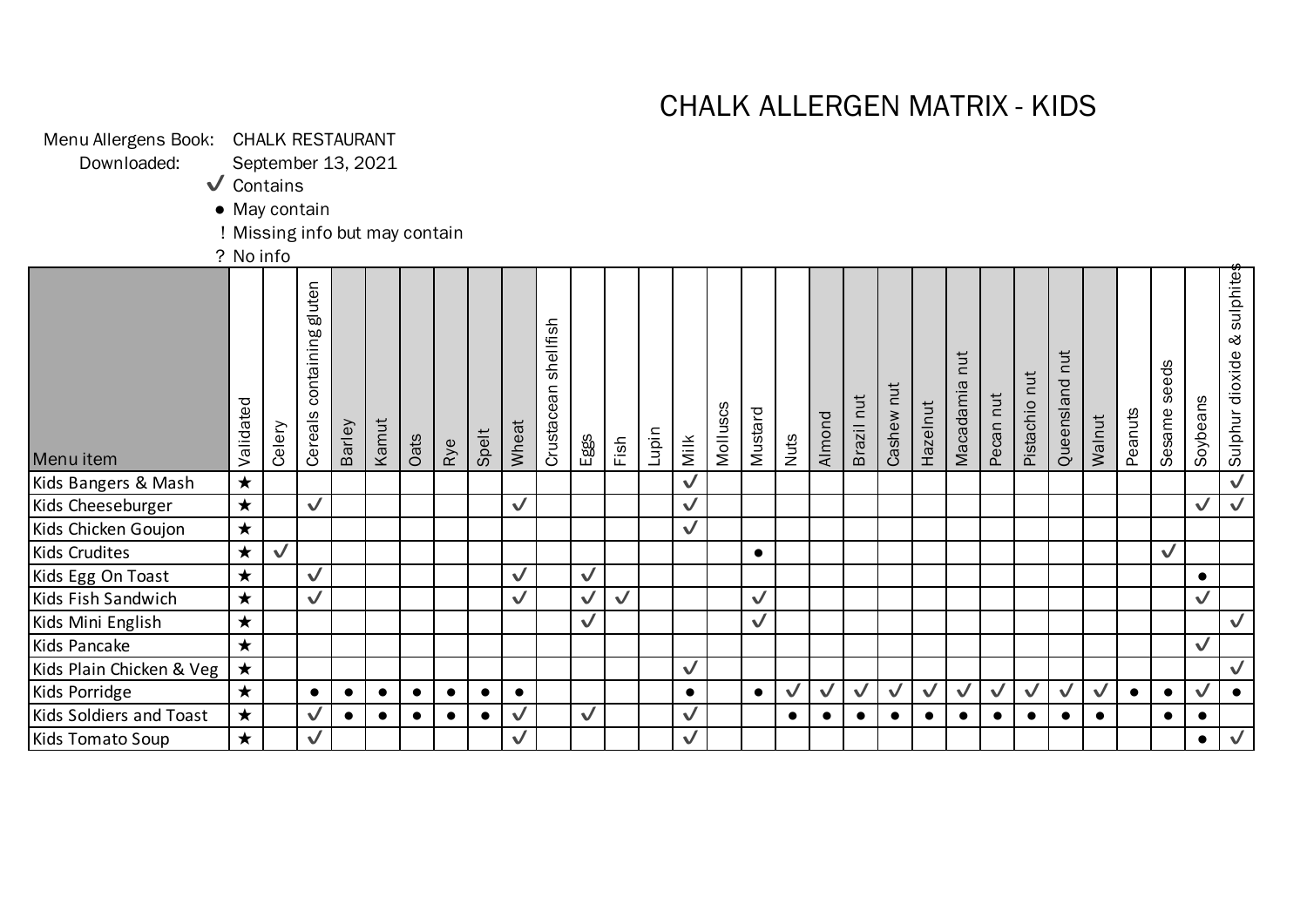# CHALK ALLERGEN MATRIX - KIDS

Sulphur dioxide

& sulphites

| Menu Allergens Book: CHALK RESTAURANT<br>Downloaded: |            | September 13, 2021             |                                 |           |           |           |           |           |              |                         |              |              |       |              |          |              |              |              |              |              |              |                  |              |               |                   |              |           |                 |              |                             |
|------------------------------------------------------|------------|--------------------------------|---------------------------------|-----------|-----------|-----------|-----------|-----------|--------------|-------------------------|--------------|--------------|-------|--------------|----------|--------------|--------------|--------------|--------------|--------------|--------------|------------------|--------------|---------------|-------------------|--------------|-----------|-----------------|--------------|-----------------------------|
|                                                      |            | $\sqrt{\ }$ Contains           |                                 |           |           |           |           |           |              |                         |              |              |       |              |          |              |              |              |              |              |              |                  |              |               |                   |              |           |                 |              |                             |
|                                                      |            | • May contain                  |                                 |           |           |           |           |           |              |                         |              |              |       |              |          |              |              |              |              |              |              |                  |              |               |                   |              |           |                 |              |                             |
|                                                      |            | ! Missing info but may contain |                                 |           |           |           |           |           |              |                         |              |              |       |              |          |              |              |              |              |              |              |                  |              |               |                   |              |           |                 |              |                             |
|                                                      | ? No info  |                                |                                 |           |           |           |           |           |              |                         |              |              |       |              |          |              |              |              |              |              |              |                  |              |               |                   |              |           |                 |              |                             |
|                                                      | Validated  | Celery                         | gluten<br>containing<br>Cereals | Barley    | Kamut     | Oats      |           | Spelt     | Wheat        | shellfish<br>Crustacean | Eggs         |              | Lupin |              | Molluscs | Mustard      | Nuts         | Almond       | Brazil nut   | Cashew nut   | Hazelnut     | nut<br>Macadamia | Pecan nut    | Pistachio nut | nut<br>Queensland | Walnut       | Peanuts   | seeds<br>Sesame | Soybeans     | Sulphur dioxide & sulphite: |
| Menu item                                            |            |                                |                                 |           |           |           | Rye       |           |              |                         |              | Fish         |       | Milk         |          |              |              |              |              |              |              |                  |              |               |                   |              |           |                 |              |                             |
| Kids Bangers & Mash                                  | $\star$    |                                |                                 |           |           |           |           |           |              |                         |              |              |       | $\checkmark$ |          |              |              |              |              |              |              |                  |              |               |                   |              |           |                 |              | $\overline{\mathsf{v}}$     |
| Kids Cheeseburger                                    | $\star$    |                                | $\checkmark$                    |           |           |           |           |           | $\checkmark$ |                         |              |              |       | $\checkmark$ |          |              |              |              |              |              |              |                  |              |               |                   |              |           |                 | $\checkmark$ | $\checkmark$                |
| Kids Chicken Goujon                                  | $\star$    |                                |                                 |           |           |           |           |           |              |                         |              |              |       | $\checkmark$ |          |              |              |              |              |              |              |                  |              |               |                   |              |           |                 |              |                             |
| <b>Kids Crudites</b>                                 | $\bigstar$ | $\checkmark$                   |                                 |           |           |           |           |           |              |                         |              |              |       |              |          | $\bullet$    |              |              |              |              |              |                  |              |               |                   |              |           | $\checkmark$    |              |                             |
| Kids Egg On Toast                                    | $\star$    |                                | $\checkmark$                    |           |           |           |           |           | $\checkmark$ |                         | $\checkmark$ |              |       |              |          |              |              |              |              |              |              |                  |              |               |                   |              |           |                 | $\bullet$    |                             |
| Kids Fish Sandwich                                   | $\star$    |                                | $\checkmark$                    |           |           |           |           |           | $\checkmark$ |                         | $\checkmark$ | $\checkmark$ |       |              |          | $\checkmark$ |              |              |              |              |              |                  |              |               |                   |              |           |                 | $\checkmark$ |                             |
| Kids Mini English                                    | $\star$    |                                |                                 |           |           |           |           |           |              |                         | $\checkmark$ |              |       |              |          | $\checkmark$ |              |              |              |              |              |                  |              |               |                   |              |           |                 |              | $\checkmark$                |
| Kids Pancake                                         | $\star$    |                                |                                 |           |           |           |           |           |              |                         |              |              |       |              |          |              |              |              |              |              |              |                  |              |               |                   |              |           |                 | $\checkmark$ |                             |
| Kids Plain Chicken & Veg                             | $\bigstar$ |                                |                                 |           |           |           |           |           |              |                         |              |              |       | $\checkmark$ |          |              |              |              |              |              |              |                  |              |               |                   |              |           |                 |              | $\checkmark$                |
| Kids Porridge                                        | $\star$    |                                | $\bullet$                       | $\bullet$ | $\bullet$ | $\bullet$ | $\bullet$ | $\bullet$ | $\bullet$    |                         |              |              |       | $\bullet$    |          | $\bullet$    | $\checkmark$ | $\checkmark$ | $\checkmark$ | $\checkmark$ | $\checkmark$ | $\checkmark$     | $\checkmark$ | $\checkmark$  | $\checkmark$      | $\checkmark$ | $\bullet$ | $\bullet$       | $\checkmark$ | $\bullet$                   |
| Kids Soldiers and Toast                              | $\bigstar$ |                                | $\checkmark$                    | $\bullet$ | $\bullet$ |           |           |           | $\checkmark$ |                         | $\checkmark$ |              |       | $\checkmark$ |          |              | $\bullet$    | $\bullet$    | $\bullet$    | $\bullet$    | $\bullet$    | $\bullet$        | $\bullet$    | $\bullet$     | $\bullet$         | $\bullet$    |           |                 | $\bullet$    |                             |
| Kids Tomato Soup                                     | $\star$    |                                | $\checkmark$                    |           |           |           |           |           | $\checkmark$ |                         |              |              |       | $\checkmark$ |          |              |              |              |              |              |              |                  |              |               |                   |              |           |                 | $\bullet$    | $\checkmark$                |